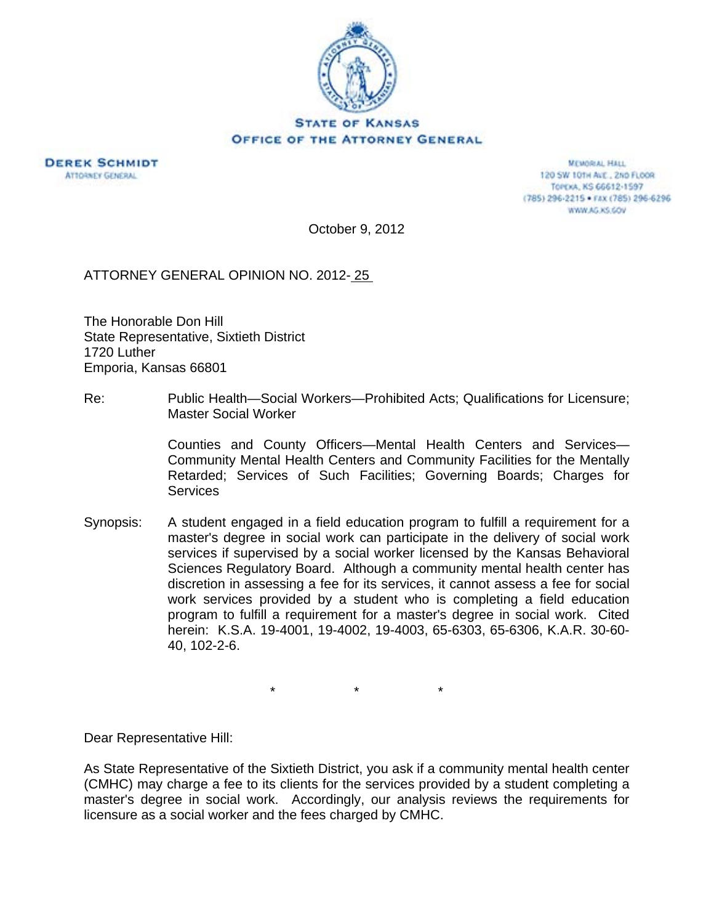

**DEREK SCHMIDT ATTORNEY GENERAL** 

**MEMORIAL HALL** 120 SW 101H AVE., 2ND FLOOR TOPEXA, KS 66612-1597 (785) 296-2215 · FAX (785) 296-6296 WWW.AG.XS.COV

October 9, 2012

ATTORNEY GENERAL OPINION NO. 2012- 25

The Honorable Don Hill State Representative, Sixtieth District 1720 Luther Emporia, Kansas 66801

Re: Public Health—Social Workers—Prohibited Acts; Qualifications for Licensure; Master Social Worker

> Counties and County Officers—Mental Health Centers and Services— Community Mental Health Centers and Community Facilities for the Mentally Retarded; Services of Such Facilities; Governing Boards; Charges for **Services**

Synopsis: A student engaged in a field education program to fulfill a requirement for a master's degree in social work can participate in the delivery of social work services if supervised by a social worker licensed by the Kansas Behavioral Sciences Regulatory Board. Although a community mental health center has discretion in assessing a fee for its services, it cannot assess a fee for social work services provided by a student who is completing a field education program to fulfill a requirement for a master's degree in social work. Cited herein: K.S.A. 19-4001, 19-4002, 19-4003, 65-6303, 65-6306, K.A.R. 30-60- 40, 102-2-6.

 $\star$  \*  $\star$  \*

Dear Representative Hill:

As State Representative of the Sixtieth District, you ask if a community mental health center (CMHC) may charge a fee to its clients for the services provided by a student completing a master's degree in social work. Accordingly, our analysis reviews the requirements for licensure as a social worker and the fees charged by CMHC.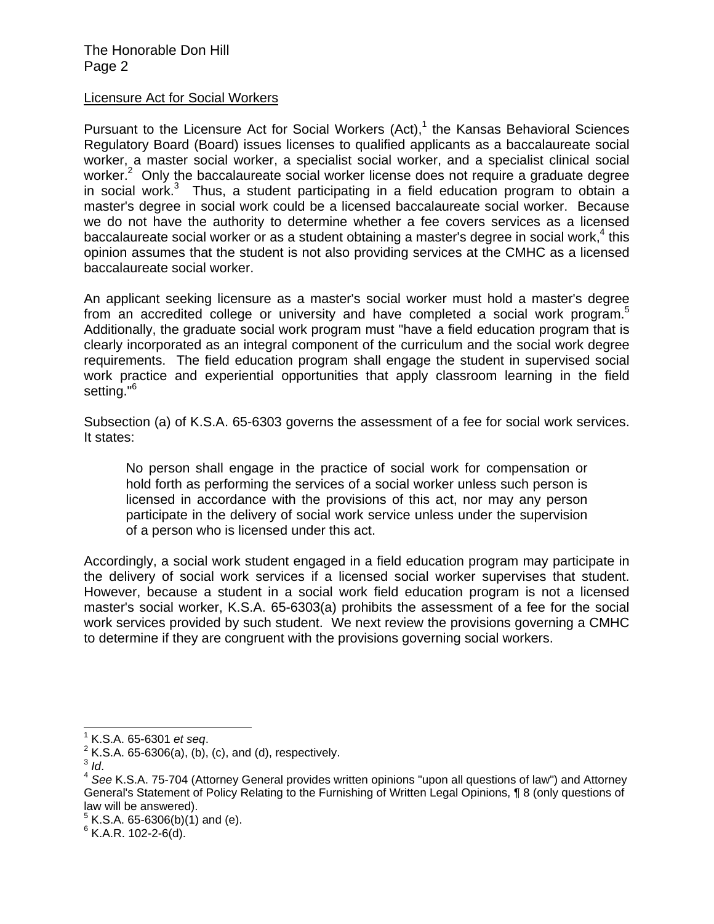The Honorable Don Hill Page 2

## Licensure Act for Social Workers

Pursuant to the Licensure Act for Social Workers  $(Act)<sub>1</sub>$ <sup>1</sup> the Kansas Behavioral Sciences Regulatory Board (Board) issues licenses to qualified applicants as a baccalaureate social worker, a master social worker, a specialist social worker, and a specialist clinical social worker.<sup>2</sup> Only the baccalaureate social worker license does not require a graduate degree in social work. $3$  Thus, a student participating in a field education program to obtain a master's degree in social work could be a licensed baccalaureate social worker. Because we do not have the authority to determine whether a fee covers services as a licensed baccalaureate social worker or as a student obtaining a master's degree in social work,<sup>4</sup> this opinion assumes that the student is not also providing services at the CMHC as a licensed baccalaureate social worker.

An applicant seeking licensure as a master's social worker must hold a master's degree from an accredited college or university and have completed a social work program.<sup>5</sup> Additionally, the graduate social work program must "have a field education program that is clearly incorporated as an integral component of the curriculum and the social work degree requirements. The field education program shall engage the student in supervised social work practice and experiential opportunities that apply classroom learning in the field setting."<sup>6</sup>

Subsection (a) of K.S.A. 65-6303 governs the assessment of a fee for social work services. It states:

No person shall engage in the practice of social work for compensation or hold forth as performing the services of a social worker unless such person is licensed in accordance with the provisions of this act, nor may any person participate in the delivery of social work service unless under the supervision of a person who is licensed under this act.

Accordingly, a social work student engaged in a field education program may participate in the delivery of social work services if a licensed social worker supervises that student. However, because a student in a social work field education program is not a licensed master's social worker, K.S.A. 65-6303(a) prohibits the assessment of a fee for the social work services provided by such student. We next review the provisions governing a CMHC to determine if they are congruent with the provisions governing social workers.

 $\overline{a}$ 

<sup>1</sup>

<sup>&</sup>lt;sup>1</sup> K.S.A. 65-6301 *et seq.*<br><sup>2</sup> K.S.A. 65-6306(a), (b), (c), and (d), respectively.

<sup>&</sup>lt;sup>3</sup> Id.<br><sup>4</sup> See K.S.A. 75-704 (Attorney General provides written opinions "upon all questions of law") and Attorney General's Statement of Policy Relating to the Furnishing of Written Legal Opinions, ¶ 8 (only questions of law will be answered).

 $5$  K.S.A. 65-6306(b)(1) and (e).

 $6$  K.A.R. 102-2-6(d).